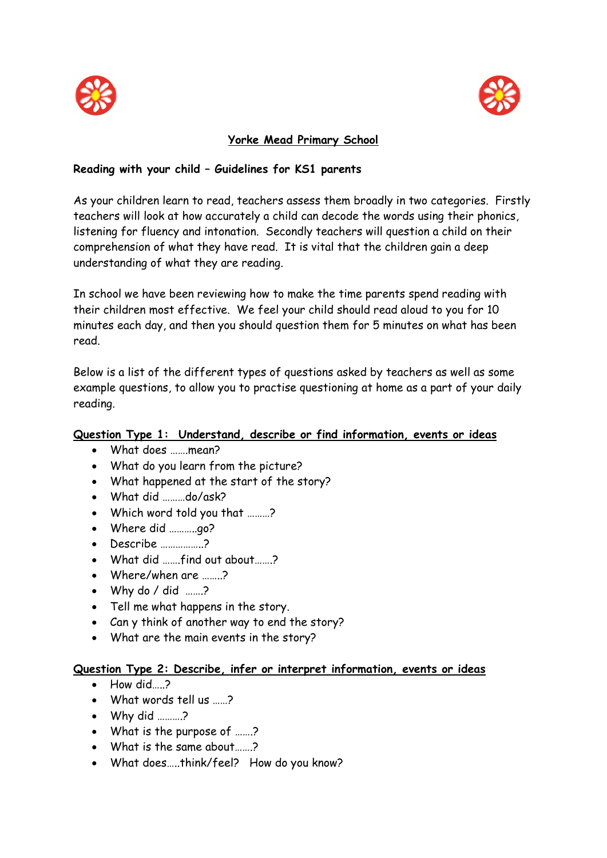



# **Yorke Mead Primary School**

# **Reading with your child – Guidelines for KS1 parents**

As your children learn to read, teachers assess them broadly in two categories. Firstly teachers will look at how accurately a child can decode the words using their phonics, listening for fluency and intonation. Secondly teachers will question a child on their comprehension of what they have read. It is vital that the children gain a deep understanding of what they are reading.

In school we have been reviewing how to make the time parents spend reading with their children most effective. We feel your child should read aloud to you for 10 minutes each day, and then you should question them for 5 minutes on what has been read.

Below is a list of the different types of questions asked by teachers as well as some example questions, to allow you to practise questioning at home as a part of your daily reading.

## **Question Type 1: Understand, describe or find information, events or ideas**

- What does …….mean?
- What do you learn from the picture?
- What happened at the start of the story?
- What did ………do/ask?
- Which word told you that ………?
- Where did ………...go?
- Describe ……………..?
- What did …….find out about…….?
- Where/when are ……..?
- Why do / did …….?
- Tell me what happens in the story.
- Can y think of another way to end the story?
- What are the main events in the story?

#### **Question Type 2: Describe, infer or interpret information, events or ideas**

- How did  $\rightarrow$
- What words tell us ……?
- Why did ………?
- What is the purpose of ……?
- What is the same about…….?
- What does…..think/feel? How do you know?